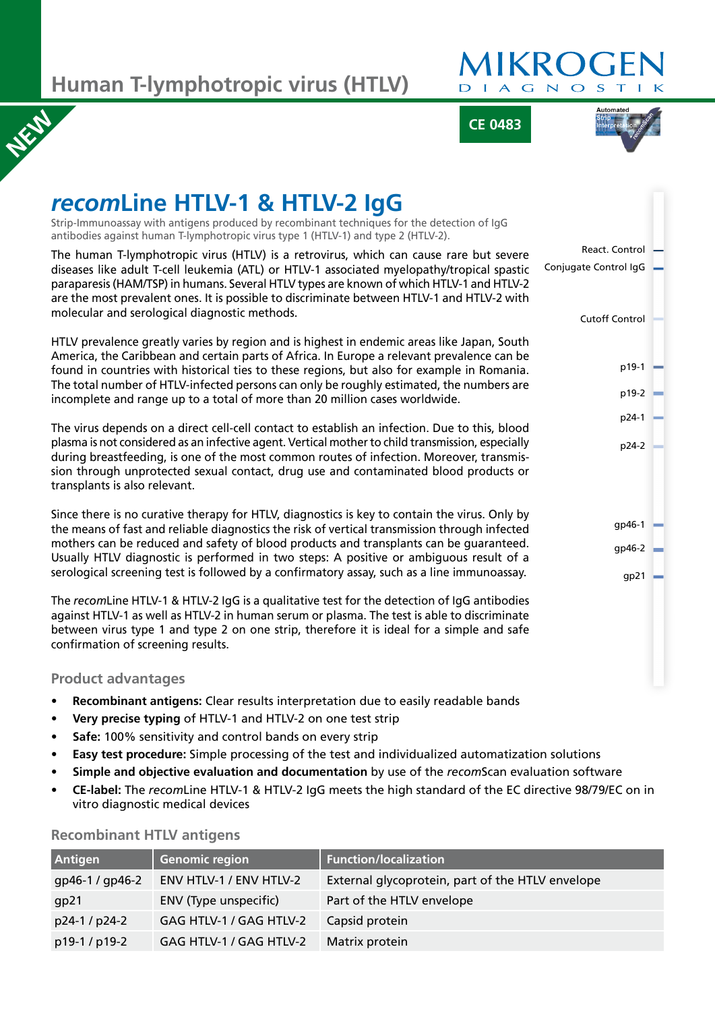**Human T-lymphotropic virus (HTLV)**

# **MIKRO** AGNO  $\leq$

**CE 0483**



#### *recom***Line HTLV-1 & HTLV-2 IgG** Strip-Immunoassay with antigens produced by recombinant techniques for the detection of IgG antibodies against human T-lymphotropic virus type 1 (HTLV-1) and type 2 (HTLV-2). The human T-lymphotropic virus (HTLV) is a retrovirus, which can cause rare but severe diseases like adult T-cell leukemia (ATL) or HTLV-1 associated myelopathy/tropical spastic paraparesis (HAM/TSP) in humans. Several HTLV types are known of which HTLV-1 and HTLV-2 are the most prevalent ones. It is possible to discriminate between HTLV-1 and HTLV-2 with molecular and serological diagnostic methods. HTLV prevalence greatly varies by region and is highest in endemic areas like Japan, South America, the Caribbean and certain parts of Africa. In Europe a relevant prevalence can be found in countries with historical ties to these regions, but also for example in Romania. The total number of HTLV-infected persons can only be roughly estimated, the numbers are incomplete and range up to a total of more than 20 million cases worldwide. The virus depends on a direct cell-cell contact to establish an infection. Due to this, blood plasma is not considered as an infective agent. Vertical mother to child transmission, especially during breastfeeding, is one of the most common routes of infection. Moreover, transmission through unprotected sexual contact, drug use and contaminated blood products or transplants is also relevant. Since there is no curative therapy for HTLV, diagnostics is key to contain the virus. Only by the means of fast and reliable diagnostics the risk of vertical transmission through infected mothers can be reduced and safety of blood products and transplants can be guaranteed. Usually HTLV diagnostic is performed in two steps: A positive or ambiguous result of a serological screening test is followed by a confirmatory assay, such as a line immunoassay. The *recom*Line HTLV-1 & HTLV-2 IgG is a qualitative test for the detection of IgG antibodies against HTLV-1 as well as HTLV-2 in human serum or plasma. The test is able to discriminate between virus type 1 and type 2 on one strip, therefore it is ideal for a simple and safe confirmation of screening results. React. Control p24-2 gp46-1 p19-1 p24-1 gp46-2 p19-2 Cutoff Control Conjugate Control IgG gp21

### **Product advantages**

**NEW** 

- **Recombinant antigens:** Clear results interpretation due to easily readable bands
- **Very precise typing** of HTLV-1 and HTLV-2 on one test strip
- **Safe:** 100% sensitivity and control bands on every strip
- **Easy test procedure:** Simple processing of the test and individualized automatization solutions
- **Simple and objective evaluation and documentation** by use of the *recom*Scan evaluation software
- **CE-label:** The *recom*Line HTLV-1 & HTLV-2 IgG meets the high standard of the EC directive 98/79/EC on in vitro diagnostic medical devices

| <b>Antigen</b>  | <b>Genomic region</b>   | <b>Function/localization</b>                     |
|-----------------|-------------------------|--------------------------------------------------|
| gp46-1 / gp46-2 | ENV HTLV-1 / ENV HTLV-2 | External glycoprotein, part of the HTLV envelope |
| gp21            | ENV (Type unspecific)   | Part of the HTLV envelope                        |
| p24-1 / p24-2   | GAG HTLV-1 / GAG HTLV-2 | Capsid protein                                   |
| p19-1 / p19-2   | GAG HTLV-1 / GAG HTLV-2 | Matrix protein                                   |

# **Recombinant HTLV antigens**